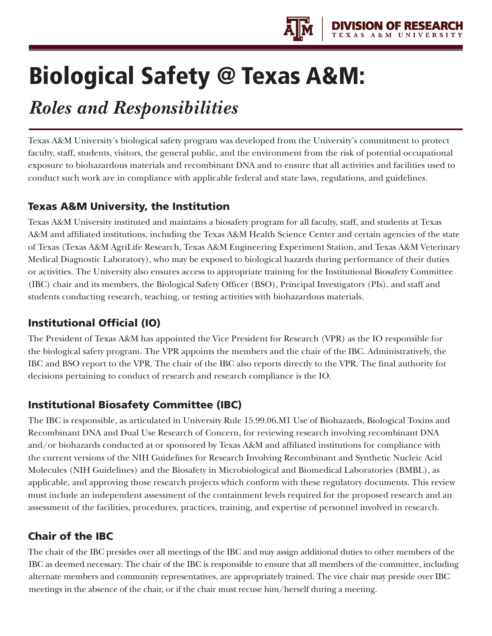

# Biological Safety @ Texas A&M:

## *Roles and Responsibilities*

Texas A&M University's biological safety program was developed from the University's commitment to protect faculty, staff, students, visitors, the general public, and the environment from the risk of potential occupational exposure to biohazardous materials and recombinant DNA and to ensure that all activities and facilities used to conduct such work are in compliance with applicable federal and state laws, regulations, and guidelines.

#### Texas A&M University, the Institution

Texas A&M University instituted and maintains a biosafety program for all faculty, staff, and students at Texas A&M and affiliated institutions, including the Texas A&M Health Science Center and certain agencies of the state of Texas (Texas A&M AgriLife Research, Texas A&M Engineering Experiment Station, and Texas A&M Veterinary Medical Diagnostic Laboratory), who may be exposed to biological hazards during performance of their duties or activities. The University also ensures access to appropriate training for the Institutional Biosafety Committee (IBC) chair and its members, the Biological Safety Officer (BSO), Principal Investigators (PIs), and staff and students conducting research, teaching, or testing activities with biohazardous materials.

#### Institutional Official (IO)

The President of Texas A&M has appointed the Vice President for Research (VPR) as the IO responsible for the biological safety program. The VPR appoints the members and the chair of the IBC. Administratively, the IBC and BSO report to the VPR. The chair of the IBC also reports directly to the VPR. The final authority for decisions pertaining to conduct of research and research compliance is the IO.

#### Institutional Biosafety Committee (IBC)

The IBC is responsible, as articulated in University Rule 15.99.06.M1 Use of Biohazards, Biological Toxins and Recombinant DNA and Dual Use Research of Concern, for reviewing research involving recombinant DNA and/or biohazards conducted at or sponsored by Texas A&M and affiliated institutions for compliance with the current versions of the NIH Guidelines for Research Involving Recombinant and Synthetic Nucleic Acid Molecules (NIH Guidelines) and the Biosafety in Microbiological and Biomedical Laboratories (BMBL), as applicable, and approving those research projects which conform with these regulatory documents. This review must include an independent assessment of the containment levels required for the proposed research and an assessment of the facilities, procedures, practices, training, and expertise of personnel involved in research.

#### Chair of the IBC

The chair of the IBC presides over all meetings of the IBC and may assign additional duties to other members of the IBC as deemed necessary. The chair of the IBC is responsible to ensure that all members of the committee, including alternate members and community representatives, are appropriately trained. The vice chair may preside over IBC meetings in the absence of the chair, or if the chair must recuse him/herself during a meeting.